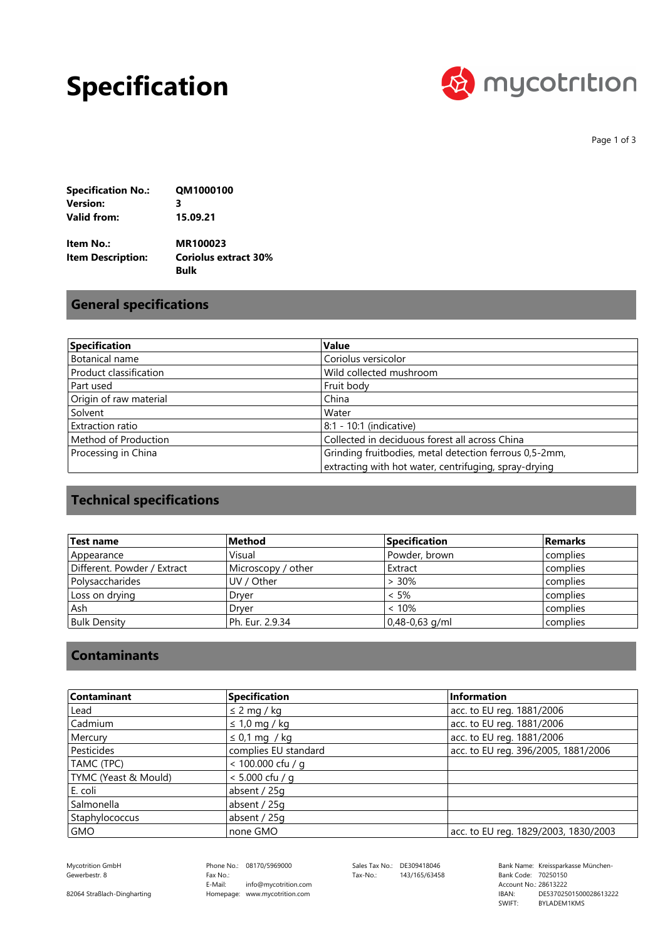## **Specification**



Page 1 of 3

| <b>Specification No.:</b> | QM1000100 |
|---------------------------|-----------|
| Version:                  | 3         |
| Valid from:               | 15.09.21  |

| Item No.:         | <b>MR100023</b>             |
|-------------------|-----------------------------|
| Item Description: | <b>Coriolus extract 30%</b> |
|                   | Bulk                        |

## **General specifications**

| Specification          | <b>Value</b>                                           |
|------------------------|--------------------------------------------------------|
| Botanical name         | Coriolus versicolor                                    |
| Product classification | Wild collected mushroom                                |
| Part used              | Fruit body                                             |
| Origin of raw material | China                                                  |
| Solvent                | Water                                                  |
| Extraction ratio       | 8:1 - 10:1 (indicative)                                |
| Method of Production   | Collected in deciduous forest all across China         |
| Processing in China    | Grinding fruitbodies, metal detection ferrous 0,5-2mm, |
|                        | extracting with hot water, centrifuging, spray-drying  |

## **Technical specifications**

| Test name                   | Method             | <b>Specification</b> | <b>Remarks</b> |
|-----------------------------|--------------------|----------------------|----------------|
| Appearance                  | Visual             | Powder, brown        | complies       |
| Different. Powder / Extract | Microscopy / other | Extract              | complies       |
| l Polysaccharides           | UV / Other         | $> 30\%$             | complies       |
| Loss on drying              | Drver              | $< 5\%$              | complies       |
| Ash                         | Drver              | < 10%                | complies       |
| <b>Bulk Density</b>         | Ph. Eur. 2.9.34    | $0,48-0,63$ g/ml     | complies       |

#### **Contaminants**

| Contaminant          | <b>Specification</b> | Information                          |
|----------------------|----------------------|--------------------------------------|
| Lead                 | $\leq$ 2 mg / kg     | acc. to EU reg. 1881/2006            |
| Cadmium              | $\leq 1.0$ mg / kg   | acc. to EU reg. 1881/2006            |
| Mercury              | $\leq$ 0,1 mg / kg   | acc. to EU reg. 1881/2006            |
| Pesticides           | complies EU standard | acc. to EU reg. 396/2005, 1881/2006  |
| TAMC (TPC)           | < 100.000 cfu / g    |                                      |
| TYMC (Yeast & Mould) | $< 5.000$ cfu / a    |                                      |
| E. coli              | absent / 25g         |                                      |
| Salmonella           | absent / 25g         |                                      |
| Staphylococcus       | absent / 25g         |                                      |
| GMO                  | none GMO             | acc. to EU reg. 1829/2003, 1830/2003 |

Gewerbestr. 8

82064 Straßlach-Dingharting

Phone No.: 08170/5969000 Homepage: www.mycotrition.com E-Mail: Fax No.: info@mycotrition.com

Tax-No.: 143/165/63458

Mycotrition GmbH 08170/5969000 Sales Tax No.: DE309418046 Bank Name: Kreissparkasse München-Bank Code: 70250150 SWIFT: IBAN: Bank Code: 70250150<br>Account No.: 28613222 DE53702501500028613222 BYLADEM1KMS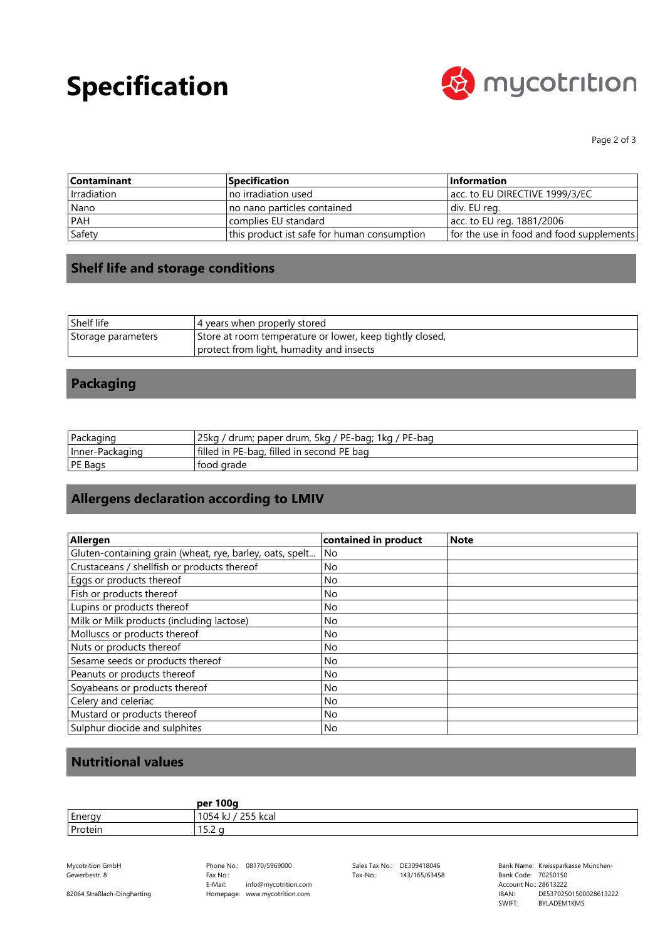# **Specification**



Page 2 of 3

| <b>Contaminant</b> | <b>Specification</b>                        | <b>Information</b>                       |
|--------------------|---------------------------------------------|------------------------------------------|
| I Irradiation      | Ino irradiation used                        | acc. to EU DIRECTIVE 1999/3/EC           |
| Nano               | no nano particles contained                 | div. EU reg.                             |
| <b>PAH</b>         | complies EU standard                        | acc. to EU reg. 1881/2006                |
| Safety             | this product ist safe for human consumption | for the use in food and food supplements |

### **Shelf life and storage conditions**

| Shelf life         | 4 years when properly stored                             |
|--------------------|----------------------------------------------------------|
| Storage parameters | Store at room temperature or lower, keep tightly closed, |
|                    | protect from light, humadity and insects                 |

### **Packaging**

| Packaging       | 25ka<br>' drum; paper drum, 5kg / PE-bag; 1kg / PE-bag |
|-----------------|--------------------------------------------------------|
| Inner-Packaging | filled in PE-bag, filled in second PE bag              |
| PE Bags         | tood grade                                             |

## **Allergens declaration according to LMIV**

| Allergen                                                 |                      | <b>Note</b> |
|----------------------------------------------------------|----------------------|-------------|
|                                                          | contained in product |             |
| Gluten-containing grain (wheat, rye, barley, oats, spelt | No                   |             |
| Crustaceans / shellfish or products thereof              | No                   |             |
| Eggs or products thereof                                 | No                   |             |
| Fish or products thereof                                 | No                   |             |
| Lupins or products thereof                               | <b>No</b>            |             |
| Milk or Milk products (including lactose)                | <b>No</b>            |             |
| Molluscs or products thereof                             | <b>No</b>            |             |
| Nuts or products thereof                                 | <b>No</b>            |             |
| Sesame seeds or products thereof                         | No.                  |             |
| Peanuts or products thereof                              | No                   |             |
| Soyabeans or products thereof                            | No.                  |             |
| Celery and celeriac                                      | No                   |             |
| Mustard or products thereof                              | <b>No</b>            |             |
| Sulphur diocide and sulphites                            | No                   |             |

### **Nutritional values**

|         | per 100g            |
|---------|---------------------|
| Energy  | 255 kcal<br>1054 kJ |
| Protein | $ -$<br>1 J.Z U     |

Gewerbestr. 8

82064 Straßlach-Dingharting

Mycotrition GmbH 08170/5969000 Sales Tax No.: DE309418046 Bank Name: Kreissparkasse München-Phone No.: 08170/5969000 Homepage: www.mycotrition.com E-Mail: Fax No.: info@mycotrition.com

Tax-No.: 143/165/63458

Bank Code: 70250150 SWIFT: IBAN: Bank Code: 70250150<br>Account No.: 28613222 DE53702501500028613222 BYLADEM1KMS